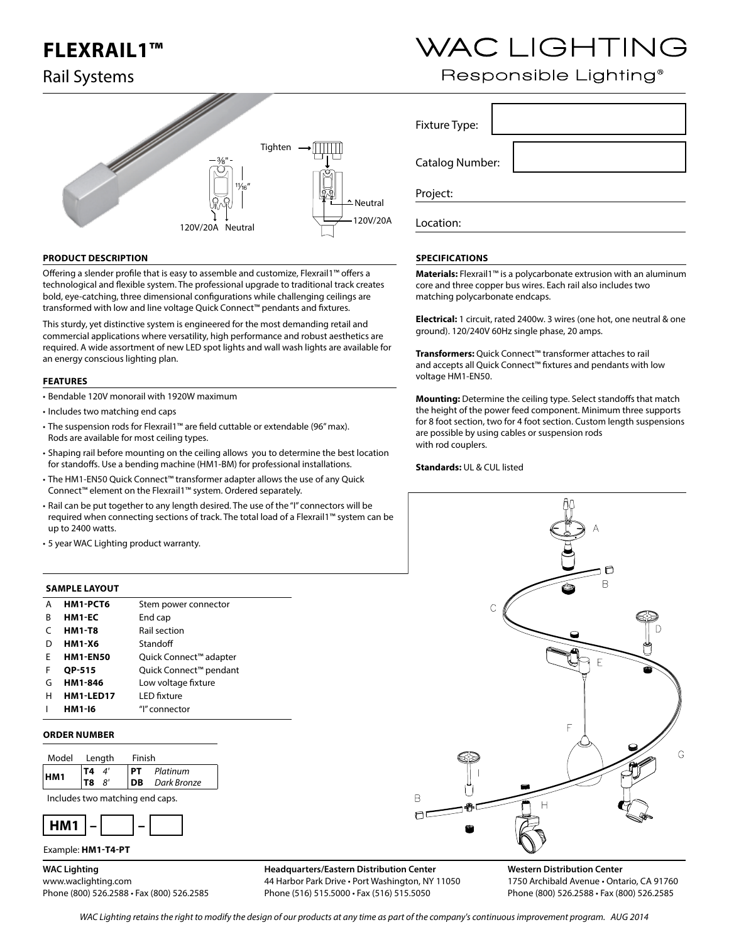## **FLEXRAIL1™**

## Rail Systems



### **PRODUCT DESCRIPTION**

Offering a slender profile that is easy to assemble and customize, Flexrail1™ offers a technological and flexible system. The professional upgrade to traditional track creates bold, eye-catching, three dimensional configurations while challenging ceilings are transformed with low and line voltage Quick Connect™ pendants and fixtures.

This sturdy, yet distinctive system is engineered for the most demanding retail and commercial applications where versatility, high performance and robust aesthetics are required. A wide assortment of new LED spot lights and wall wash lights are available for an energy conscious lighting plan.

#### **FEATURES**

- Bendable 120V monorail with 1920W maximum
- Includes two matching end caps
- The suspension rods for Flexrail1™ are field cuttable or extendable (96" max). Rods are available for most ceiling types.
- Shaping rail before mounting on the ceiling allows you to determine the best location for standoffs. Use a bending machine (HM1-BM) for professional installations.
- The HM1-EN50 Quick Connect™ transformer adapter allows the use of any Quick Connect™ element on the Flexrail1™ system. Ordered separately.
- Rail can be put together to any length desired. The use of the "I" connectors will be required when connecting sections of track. The total load of a Flexrail1™ system can be up to 2400 watts.
- 5 year WAC Lighting product warranty.

### **SAMPLE LAYOUT**

| А | HM1-PCT6        | Stem power connector   |
|---|-----------------|------------------------|
| R | HM1-EC          | End cap                |
| C | <b>HM1-T8</b>   | Rail section           |
| D | <b>HM1-X6</b>   | Standoff               |
| F | <b>HM1-EN50</b> | Quick Connect™ adapter |
| F | <b>OP-515</b>   | Quick Connect™ pendant |
| G | HM1-846         | Low voltage fixture    |
| н | HM1-LED17       | <b>LED</b> fixture     |
|   | HM1-16          | "I" connector          |

#### **ORDER NUMBER**



Includes two matching end caps.



### Example: **HM1-T4-PT**

**WAC Lighting**

www.waclighting.com Phone (800) 526.2588 • Fax (800) 526.2585

**Headquarters/Eastern Distribution Center** 44 Harbor Park Drive • Port Washington, NY 11050 Phone (516) 515.5000 • Fax (516) 515.5050

# WAC LIGHTING

## Responsible Lighting<sup>®</sup>

Fixture Type: Catalog Number: Project:

Location:

### **SPECIFICATIONS**

**Materials:** Flexrail1™ is a polycarbonate extrusion with an aluminum core and three copper bus wires. Each rail also includes two matching polycarbonate endcaps.

**Electrical:** 1 circuit, rated 2400w. 3 wires (one hot, one neutral & one ground). 120/240V 60Hz single phase, 20 amps.

**Transformers:** Quick Connect™ transformer attaches to rail and accepts all Quick Connect™ fixtures and pendants with low voltage HM1-EN50.

**Mounting:** Determine the ceiling type. Select standoffs that match the height of the power feed component. Minimum three supports for 8 foot section, two for 4 foot section. Custom length suspensions are possible by using cables or suspension rods with rod couplers.

**Standards:** UL & CUL listed



**Western Distribution Center**  1750 Archibald Avenue • Ontario, CA 91760 Phone (800) 526.2588 • Fax (800) 526.2585

WAC Lighting retains the right to modify the design of our products at any time as part of the company's continuous improvement program. AUG 2014